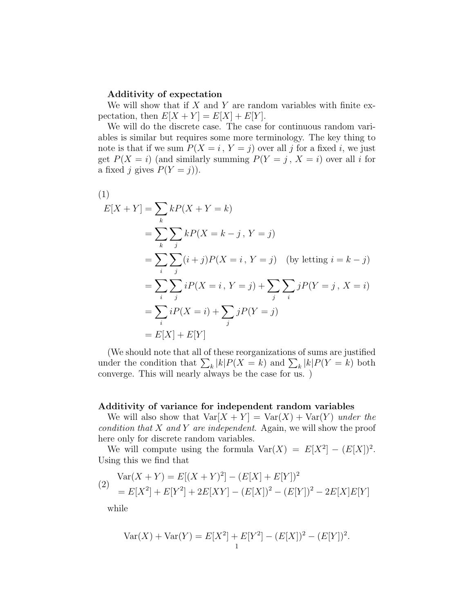## Additivity of expectation

We will show that if  $X$  and  $Y$  are random variables with finite expectation, then  $E[X + Y] = E[X] + E[Y]$ .

We will do the discrete case. The case for continuous random variables is similar but requires some more terminology. The key thing to note is that if we sum  $P(X = i, Y = j)$  over all j for a fixed i, we just get  $P(X = i)$  (and similarly summing  $P(Y = j, X = i)$  over all i for a fixed j gives  $P(Y = j)$ .

(1)  
\n
$$
E[X+Y] = \sum_{k} kP(X+Y=k)
$$
\n
$$
= \sum_{k} \sum_{j} kP(X=k-j, Y=j)
$$
\n
$$
= \sum_{i} \sum_{j} (i+j)P(X=i, Y=j) \quad \text{(by letting } i = k - j\text{)}
$$
\n
$$
= \sum_{i} \sum_{j} iP(X=i, Y=j) + \sum_{j} \sum_{i} jP(Y=j, X=i)
$$
\n
$$
= \sum_{i} iP(X=i) + \sum_{j} jP(Y=j)
$$
\n
$$
= E[X] + E[Y]
$$

(We should note that all of these reorganizations of sums are justified under the condition that  $\sum_{k} |k| P(X = k)$  and  $\sum_{k} |k| P(Y = k)$  both converge. This will nearly always be the case for us. )

## Additivity of variance for independent random variables

We will also show that  $Var[X + Y] = Var(X) + Var(Y)$  under the condition that  $X$  and  $Y$  are independent. Again, we will show the proof here only for discrete random variables.

We will compute using the formula  $Var(X) = E[X^2] - (E[X])^2$ . Using this we find that

$$
\begin{aligned} \text{Var}(X+Y) &= E[(X+Y)^2] - (E[X] + E[Y])^2 \\ &= E[X^2] + E[Y^2] + 2E[XY] - (E[X])^2 - (E[Y])^2 - 2E[X]E[Y] \end{aligned}
$$

while

$$
Var(X) + Var(Y) = E[X2] + E[Y2] - (E[X])2 - (E[Y])2.
$$